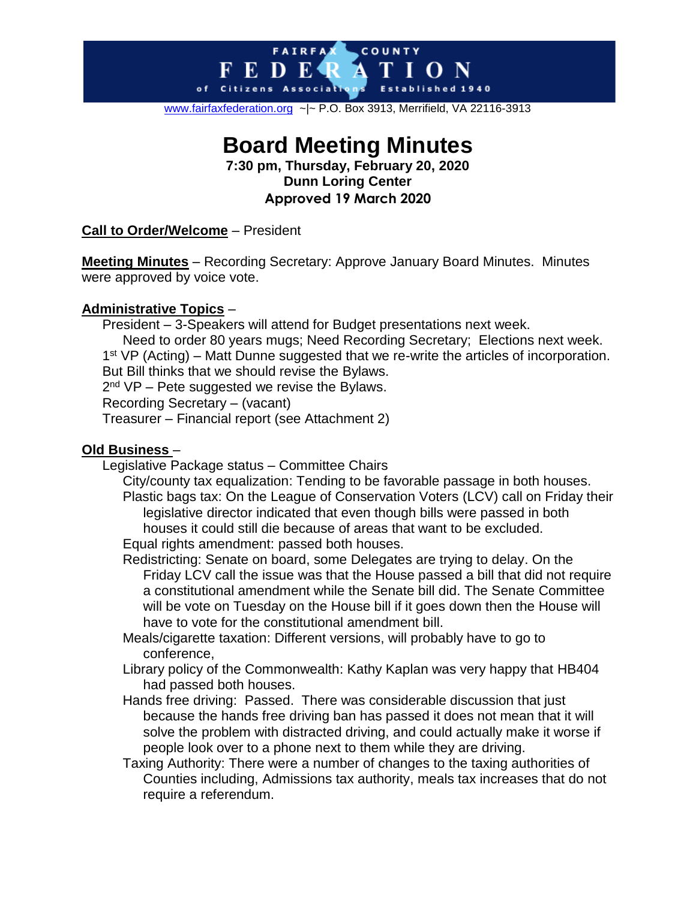#### COUNTY **FAIRFAX** E D E R т  $\bf{I}$  O N of Citizens Associativ

[www.fairfaxfederation.org](http://www.fairfaxfederation.org/) ~|~ P.O. Box 3913, Merrifield, VA 22116-3913

# **Board Meeting Minutes**

**7:30 pm, Thursday, February 20, 2020 Dunn Loring Center Approved 19 March 2020**

#### **Call to Order/Welcome** – President

**Meeting Minutes** – Recording Secretary: Approve January Board Minutes. Minutes were approved by voice vote.

#### **Administrative Topics** –

President – 3-Speakers will attend for Budget presentations next week. Need to order 80 years mugs; Need Recording Secretary; Elections next week. 1<sup>st</sup> VP (Acting) – Matt Dunne suggested that we re-write the articles of incorporation. But Bill thinks that we should revise the Bylaws. 2<sup>nd</sup> VP – Pete suggested we revise the Bylaws. Recording Secretary – (vacant) Treasurer – Financial report (see Attachment 2)

#### **Old Business** –

Legislative Package status – Committee Chairs

City/county tax equalization: Tending to be favorable passage in both houses. Plastic bags tax: On the League of Conservation Voters (LCV) call on Friday their legislative director indicated that even though bills were passed in both houses it could still die because of areas that want to be excluded.

Equal rights amendment: passed both houses.

Redistricting: Senate on board, some Delegates are trying to delay. On the Friday LCV call the issue was that the House passed a bill that did not require a constitutional amendment while the Senate bill did. The Senate Committee will be vote on Tuesday on the House bill if it goes down then the House will have to vote for the constitutional amendment bill.

- Meals/cigarette taxation: Different versions, will probably have to go to conference,
- Library policy of the Commonwealth: Kathy Kaplan was very happy that HB404 had passed both houses.
- Hands free driving: Passed. There was considerable discussion that just because the hands free driving ban has passed it does not mean that it will solve the problem with distracted driving, and could actually make it worse if people look over to a phone next to them while they are driving.
- Taxing Authority: There were a number of changes to the taxing authorities of Counties including, Admissions tax authority, meals tax increases that do not require a referendum.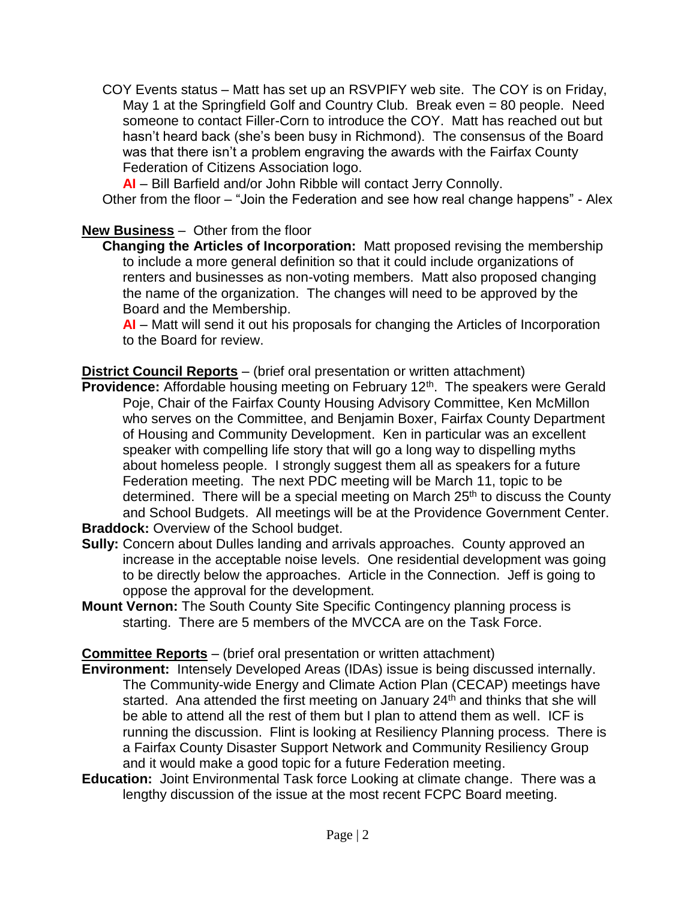COY Events status – Matt has set up an RSVPIFY web site. The COY is on Friday, May 1 at the Springfield Golf and Country Club. Break even = 80 people. Need someone to contact Filler-Corn to introduce the COY. Matt has reached out but hasn't heard back (she's been busy in Richmond). The consensus of the Board was that there isn't a problem engraving the awards with the Fairfax County Federation of Citizens Association logo.

**AI** – Bill Barfield and/or John Ribble will contact Jerry Connolly.

Other from the floor – "Join the Federation and see how real change happens" - Alex

#### **New Business** – Other from the floor

**Changing the Articles of Incorporation:** Matt proposed revising the membership to include a more general definition so that it could include organizations of renters and businesses as non-voting members. Matt also proposed changing the name of the organization. The changes will need to be approved by the Board and the Membership.

**AI** – Matt will send it out his proposals for changing the Articles of Incorporation to the Board for review.

**District Council Reports** – (brief oral presentation or written attachment)

**Providence:** Affordable housing meeting on February 12<sup>th</sup>. The speakers were Gerald Poje, Chair of the Fairfax County Housing Advisory Committee, Ken McMillon who serves on the Committee, and Benjamin Boxer, Fairfax County Department of Housing and Community Development. Ken in particular was an excellent speaker with compelling life story that will go a long way to dispelling myths about homeless people. I strongly suggest them all as speakers for a future Federation meeting. The next PDC meeting will be March 11, topic to be determined. There will be a special meeting on March  $25<sup>th</sup>$  to discuss the County and School Budgets. All meetings will be at the Providence Government Center. **Braddock:** Overview of the School budget.

- **Sully:** Concern about Dulles landing and arrivals approaches. County approved an increase in the acceptable noise levels. One residential development was going to be directly below the approaches. Article in the Connection. Jeff is going to oppose the approval for the development.
- **Mount Vernon:** The South County Site Specific Contingency planning process is starting. There are 5 members of the MVCCA are on the Task Force.

**Committee Reports** – (brief oral presentation or written attachment)

- **Environment:** Intensely Developed Areas (IDAs) issue is being discussed internally. The Community-wide Energy and Climate Action Plan (CECAP) meetings have started. Ana attended the first meeting on January 24<sup>th</sup> and thinks that she will be able to attend all the rest of them but I plan to attend them as well. ICF is running the discussion. Flint is looking at Resiliency Planning process. There is a Fairfax County Disaster Support Network and Community Resiliency Group and it would make a good topic for a future Federation meeting.
- **Education:** Joint Environmental Task force Looking at climate change. There was a lengthy discussion of the issue at the most recent FCPC Board meeting.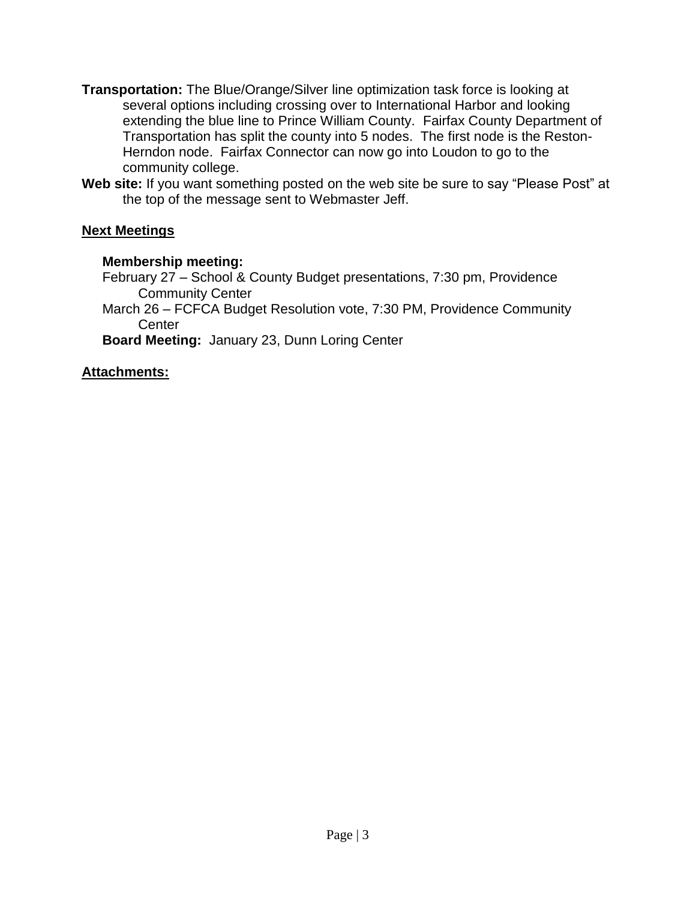- **Transportation:** The Blue/Orange/Silver line optimization task force is looking at several options including crossing over to International Harbor and looking extending the blue line to Prince William County. Fairfax County Department of Transportation has split the county into 5 nodes. The first node is the Reston-Herndon node. Fairfax Connector can now go into Loudon to go to the community college.
- **Web site:** If you want something posted on the web site be sure to say "Please Post" at the top of the message sent to Webmaster Jeff.

#### **Next Meetings**

#### **Membership meeting:**

February 27 – School & County Budget presentations, 7:30 pm, Providence Community Center

March 26 – FCFCA Budget Resolution vote, 7:30 PM, Providence Community **Center** 

**Board Meeting:** January 23, Dunn Loring Center

#### **Attachments:**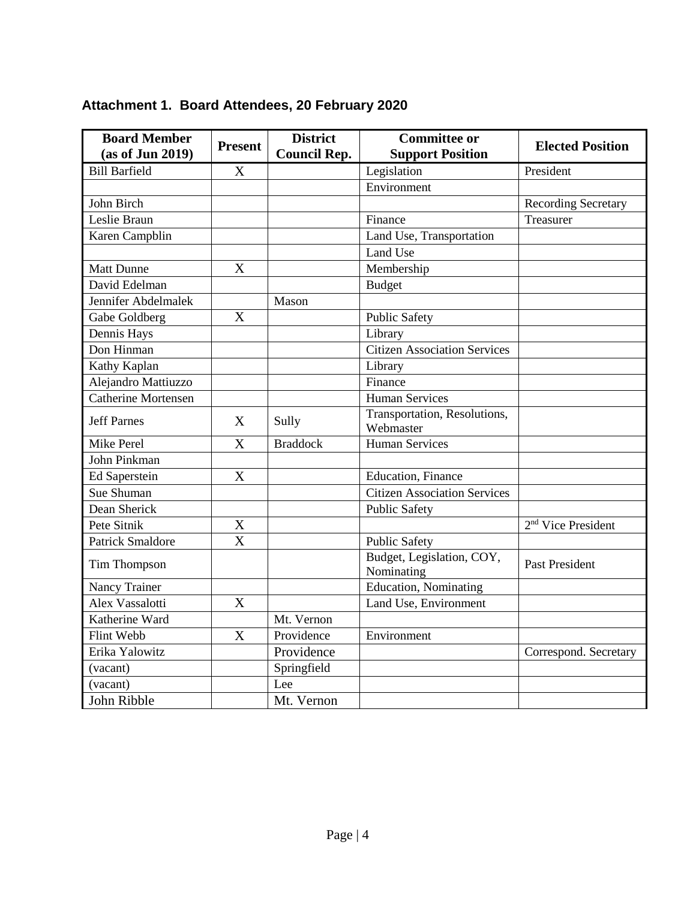| <b>Board Member</b><br>(as of Jun 2019) | <b>Present</b> | <b>District</b><br><b>Council Rep.</b> | <b>Committee or</b><br><b>Support Position</b> | <b>Elected Position</b>        |
|-----------------------------------------|----------------|----------------------------------------|------------------------------------------------|--------------------------------|
| <b>Bill Barfield</b>                    | X              |                                        | Legislation                                    | President                      |
|                                         |                |                                        | Environment                                    |                                |
| John Birch                              |                |                                        |                                                | <b>Recording Secretary</b>     |
| Leslie Braun                            |                |                                        | Finance                                        | Treasurer                      |
| Karen Campblin                          |                |                                        | Land Use, Transportation                       |                                |
|                                         |                |                                        | Land Use                                       |                                |
| <b>Matt Dunne</b>                       | X              |                                        | Membership                                     |                                |
| David Edelman                           |                |                                        | <b>Budget</b>                                  |                                |
| Jennifer Abdelmalek                     |                | Mason                                  |                                                |                                |
| Gabe Goldberg                           | X              |                                        | <b>Public Safety</b>                           |                                |
| Dennis Hays                             |                |                                        | Library                                        |                                |
| Don Hinman                              |                |                                        | <b>Citizen Association Services</b>            |                                |
| Kathy Kaplan                            |                |                                        | Library                                        |                                |
| Alejandro Mattiuzzo                     |                |                                        | Finance                                        |                                |
| <b>Catherine Mortensen</b>              |                |                                        | Human Services                                 |                                |
| <b>Jeff Parnes</b>                      | X              | Sully                                  | Transportation, Resolutions,<br>Webmaster      |                                |
| Mike Perel                              | X              | <b>Braddock</b>                        | <b>Human Services</b>                          |                                |
| John Pinkman                            |                |                                        |                                                |                                |
| <b>Ed Saperstein</b>                    | X              |                                        | <b>Education</b> , Finance                     |                                |
| Sue Shuman                              |                |                                        | <b>Citizen Association Services</b>            |                                |
| Dean Sherick                            |                |                                        | <b>Public Safety</b>                           |                                |
| Pete Sitnik                             | X              |                                        |                                                | 2 <sup>nd</sup> Vice President |
| <b>Patrick Smaldore</b>                 | X              |                                        | <b>Public Safety</b>                           |                                |
| Tim Thompson                            |                |                                        | Budget, Legislation, COY,<br>Nominating        | <b>Past President</b>          |
| Nancy Trainer                           |                |                                        | <b>Education</b> , Nominating                  |                                |
| Alex Vassalotti                         | X              |                                        | Land Use, Environment                          |                                |
| Katherine Ward                          |                | Mt. Vernon                             |                                                |                                |
| Flint Webb                              | X              | Providence                             | Environment                                    |                                |
| Erika Yalowitz                          |                | Providence                             |                                                | Correspond. Secretary          |
| (vacant)                                |                | Springfield                            |                                                |                                |
| (vacant)                                |                | Lee                                    |                                                |                                |
| John Ribble                             |                | Mt. Vernon                             |                                                |                                |

## **Attachment 1. Board Attendees, 20 February 2020**